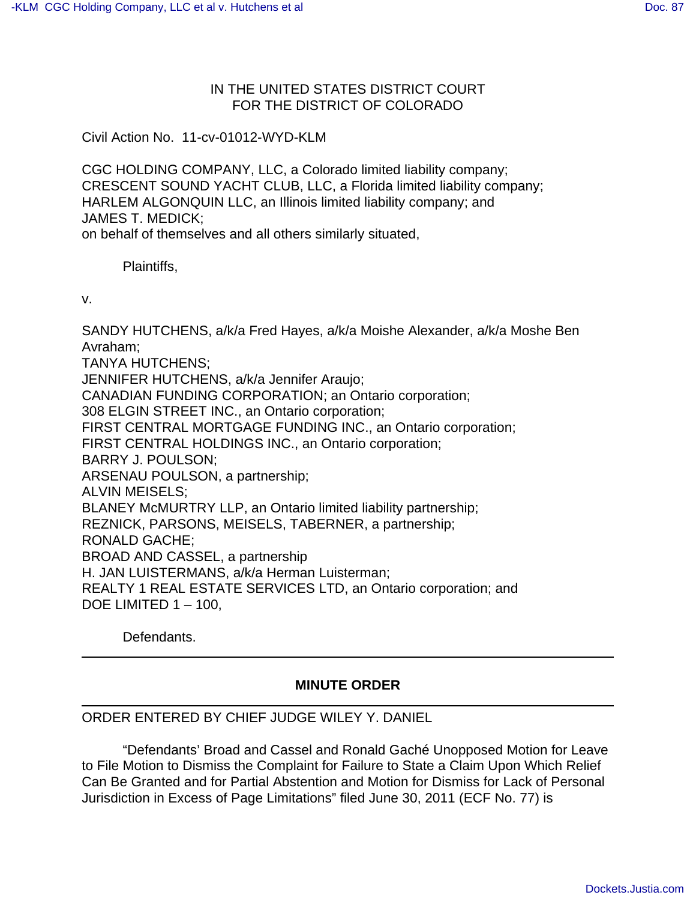## IN THE UNITED STATES DISTRICT COURT FOR THE DISTRICT OF COLORADO

Civil Action No. 11-cv-01012-WYD-KLM

CGC HOLDING COMPANY, LLC, a Colorado limited liability company; CRESCENT SOUND YACHT CLUB, LLC, a Florida limited liability company; HARLEM ALGONQUIN LLC, an Illinois limited liability company; and JAMES T. MEDICK; on behalf of themselves and all others similarly situated,

Plaintiffs,

v.

SANDY HUTCHENS, a/k/a Fred Hayes, a/k/a Moishe Alexander, a/k/a Moshe Ben Avraham; TANYA HUTCHENS; JENNIFER HUTCHENS, a/k/a Jennifer Araujo; CANADIAN FUNDING CORPORATION; an Ontario corporation; 308 ELGIN STREET INC., an Ontario corporation; FIRST CENTRAL MORTGAGE FUNDING INC., an Ontario corporation; FIRST CENTRAL HOLDINGS INC., an Ontario corporation; BARRY J. POULSON; ARSENAU POULSON, a partnership; ALVIN MEISELS; BLANEY McMURTRY LLP, an Ontario limited liability partnership; REZNICK, PARSONS, MEISELS, TABERNER, a partnership; RONALD GACHE; BROAD AND CASSEL, a partnership H. JAN LUISTERMANS, a/k/a Herman Luisterman; REALTY 1 REAL ESTATE SERVICES LTD, an Ontario corporation; and DOE LIMITED 1 – 100,

Defendants.

## **MINUTE ORDER**

## ORDER ENTERED BY CHIEF JUDGE WILEY Y. DANIEL

"Defendants' Broad and Cassel and Ronald Gaché Unopposed Motion for Leave to File Motion to Dismiss the Complaint for Failure to State a Claim Upon Which Relief Can Be Granted and for Partial Abstention and Motion for Dismiss for Lack of Personal Jurisdiction in Excess of Page Limitations" filed June 30, 2011 (ECF No. 77) is